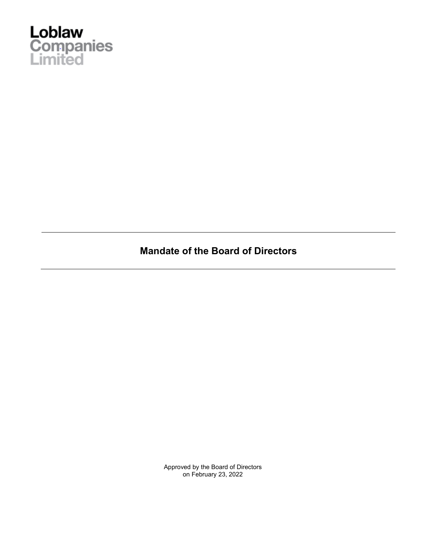

**Mandate of the Board of Directors**

Approved by the Board of Directors on February 23, 2022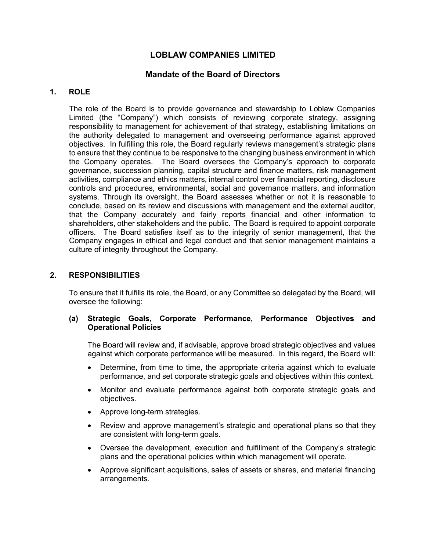# **LOBLAW COMPANIES LIMITED**

# **Mandate of the Board of Directors**

# **1. ROLE**

The role of the Board is to provide governance and stewardship to Loblaw Companies Limited (the "Company") which consists of reviewing corporate strategy, assigning responsibility to management for achievement of that strategy, establishing limitations on the authority delegated to management and overseeing performance against approved objectives. In fulfilling this role, the Board regularly reviews management's strategic plans to ensure that they continue to be responsive to the changing business environment in which the Company operates. The Board oversees the Company's approach to corporate governance, succession planning, capital structure and finance matters, risk management activities, compliance and ethics matters, internal control over financial reporting, disclosure controls and procedures, environmental, social and governance matters, and information systems. Through its oversight, the Board assesses whether or not it is reasonable to conclude, based on its review and discussions with management and the external auditor, that the Company accurately and fairly reports financial and other information to shareholders, other stakeholders and the public. The Board is required to appoint corporate officers. The Board satisfies itself as to the integrity of senior management, that the Company engages in ethical and legal conduct and that senior management maintains a culture of integrity throughout the Company.

## **2. RESPONSIBILITIES**

To ensure that it fulfills its role, the Board, or any Committee so delegated by the Board, will oversee the following:

### **(a) Strategic Goals, Corporate Performance, Performance Objectives and Operational Policies**

The Board will review and, if advisable, approve broad strategic objectives and values against which corporate performance will be measured. In this regard, the Board will:

- Determine, from time to time, the appropriate criteria against which to evaluate performance, and set corporate strategic goals and objectives within this context.
- Monitor and evaluate performance against both corporate strategic goals and objectives.
- Approve long-term strategies.
- Review and approve management's strategic and operational plans so that they are consistent with long-term goals.
- Oversee the development, execution and fulfillment of the Company's strategic plans and the operational policies within which management will operate.
- Approve significant acquisitions, sales of assets or shares, and material financing arrangements.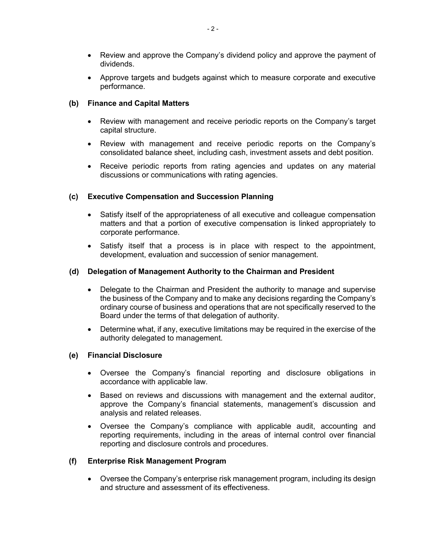- Review and approve the Company's dividend policy and approve the payment of dividends.
- Approve targets and budgets against which to measure corporate and executive performance.

## **(b) Finance and Capital Matters**

- Review with management and receive periodic reports on the Company's target capital structure.
- Review with management and receive periodic reports on the Company's consolidated balance sheet, including cash, investment assets and debt position.
- Receive periodic reports from rating agencies and updates on any material discussions or communications with rating agencies.

## **(c) Executive Compensation and Succession Planning**

- Satisfy itself of the appropriateness of all executive and colleague compensation matters and that a portion of executive compensation is linked appropriately to corporate performance.
- Satisfy itself that a process is in place with respect to the appointment, development, evaluation and succession of senior management.

### **(d) Delegation of Management Authority to the Chairman and President**

- Delegate to the Chairman and President the authority to manage and supervise the business of the Company and to make any decisions regarding the Company's ordinary course of business and operations that are not specifically reserved to the Board under the terms of that delegation of authority.
- Determine what, if any, executive limitations may be required in the exercise of the authority delegated to management.

#### **(e) Financial Disclosure**

- Oversee the Company's financial reporting and disclosure obligations in accordance with applicable law.
- Based on reviews and discussions with management and the external auditor, approve the Company's financial statements, management's discussion and analysis and related releases.
- Oversee the Company's compliance with applicable audit, accounting and reporting requirements, including in the areas of internal control over financial reporting and disclosure controls and procedures.

#### **(f) Enterprise Risk Management Program**

• Oversee the Company's enterprise risk management program, including its design and structure and assessment of its effectiveness.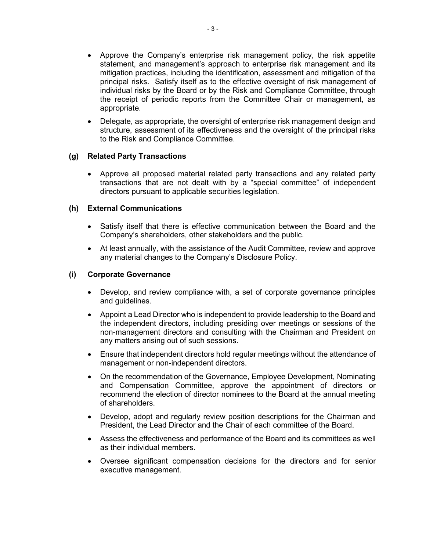- Approve the Company's enterprise risk management policy, the risk appetite statement, and management's approach to enterprise risk management and its mitigation practices, including the identification, assessment and mitigation of the principal risks. Satisfy itself as to the effective oversight of risk management of individual risks by the Board or by the Risk and Compliance Committee, through the receipt of periodic reports from the Committee Chair or management, as appropriate.
- Delegate, as appropriate, the oversight of enterprise risk management design and structure, assessment of its effectiveness and the oversight of the principal risks to the Risk and Compliance Committee.

## **(g) Related Party Transactions**

• Approve all proposed material related party transactions and any related party transactions that are not dealt with by a "special committee" of independent directors pursuant to applicable securities legislation.

### **(h) External Communications**

- Satisfy itself that there is effective communication between the Board and the Company's shareholders, other stakeholders and the public.
- At least annually, with the assistance of the Audit Committee, review and approve any material changes to the Company's Disclosure Policy.

### **(i) Corporate Governance**

- Develop, and review compliance with, a set of corporate governance principles and guidelines.
- Appoint a Lead Director who is independent to provide leadership to the Board and the independent directors, including presiding over meetings or sessions of the non-management directors and consulting with the Chairman and President on any matters arising out of such sessions.
- Ensure that independent directors hold regular meetings without the attendance of management or non-independent directors.
- On the recommendation of the Governance, Employee Development, Nominating and Compensation Committee, approve the appointment of directors or recommend the election of director nominees to the Board at the annual meeting of shareholders.
- Develop, adopt and regularly review position descriptions for the Chairman and President, the Lead Director and the Chair of each committee of the Board.
- Assess the effectiveness and performance of the Board and its committees as well as their individual members.
- Oversee significant compensation decisions for the directors and for senior executive management.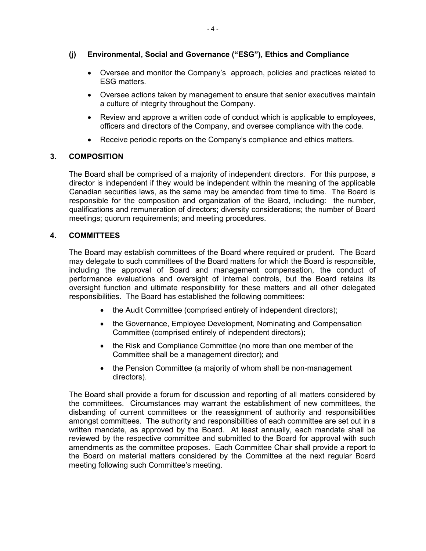## **(j) Environmental, Social and Governance ("ESG"), Ethics and Compliance**

- Oversee and monitor the Company's approach, policies and practices related to ESG matters.
- Oversee actions taken by management to ensure that senior executives maintain a culture of integrity throughout the Company.
- Review and approve a written code of conduct which is applicable to employees, officers and directors of the Company, and oversee compliance with the code.
- Receive periodic reports on the Company's compliance and ethics matters.

## **3. COMPOSITION**

The Board shall be comprised of a majority of independent directors. For this purpose, a director is independent if they would be independent within the meaning of the applicable Canadian securities laws, as the same may be amended from time to time. The Board is responsible for the composition and organization of the Board, including: the number, qualifications and remuneration of directors; diversity considerations; the number of Board meetings; quorum requirements; and meeting procedures.

## **4. COMMITTEES**

The Board may establish committees of the Board where required or prudent. The Board may delegate to such committees of the Board matters for which the Board is responsible, including the approval of Board and management compensation, the conduct of performance evaluations and oversight of internal controls, but the Board retains its oversight function and ultimate responsibility for these matters and all other delegated responsibilities. The Board has established the following committees:

- the Audit Committee (comprised entirely of independent directors);
- the Governance, Employee Development, Nominating and Compensation Committee (comprised entirely of independent directors);
- the Risk and Compliance Committee (no more than one member of the Committee shall be a management director); and
- the Pension Committee (a majority of whom shall be non-management directors).

The Board shall provide a forum for discussion and reporting of all matters considered by the committees. Circumstances may warrant the establishment of new committees, the disbanding of current committees or the reassignment of authority and responsibilities amongst committees. The authority and responsibilities of each committee are set out in a written mandate, as approved by the Board. At least annually, each mandate shall be reviewed by the respective committee and submitted to the Board for approval with such amendments as the committee proposes. Each Committee Chair shall provide a report to the Board on material matters considered by the Committee at the next regular Board meeting following such Committee's meeting.